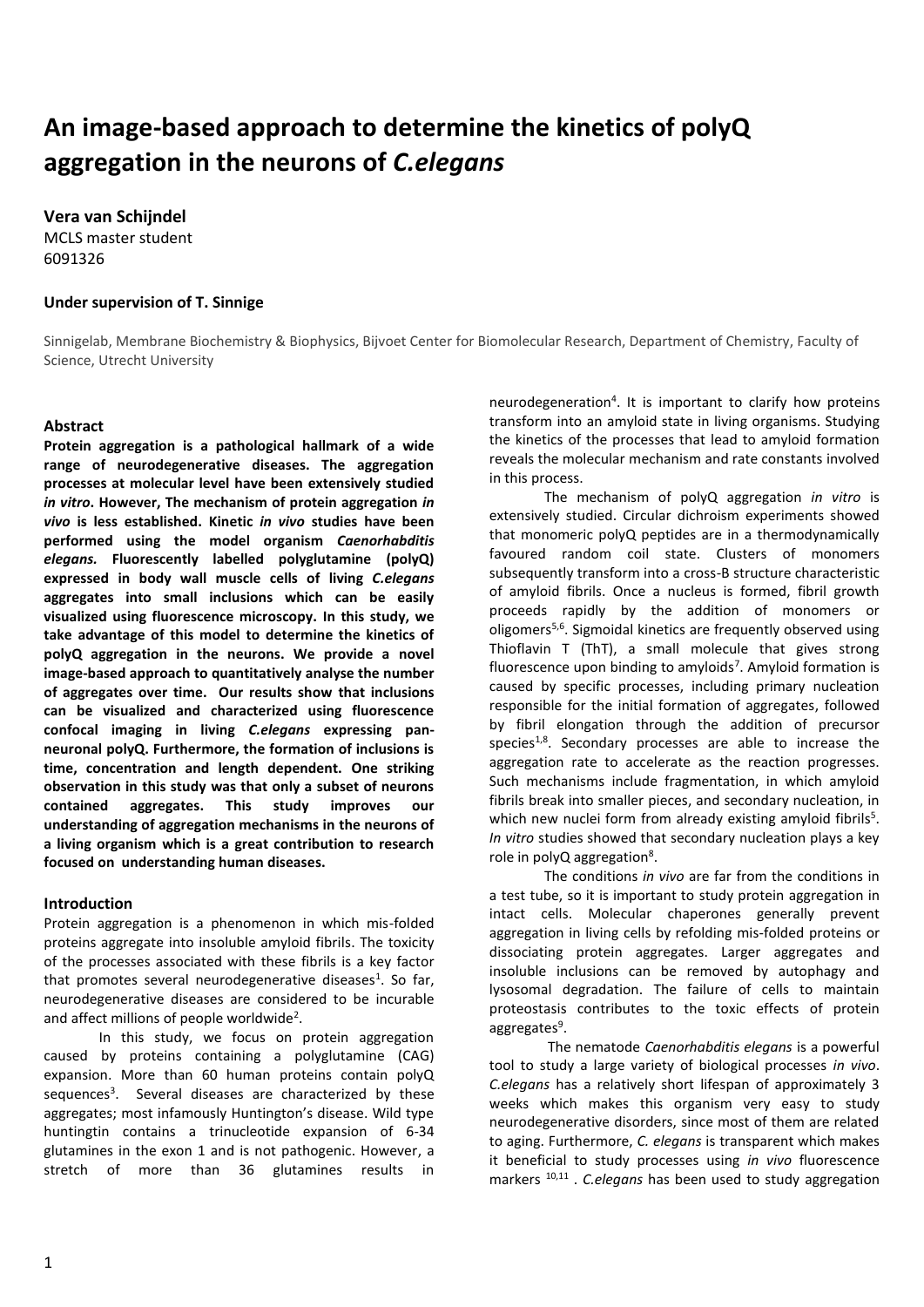# **An image-based approach to determine the kinetics of polyQ aggregation in the neurons of** *C.elegans*

**Vera van Schijndel**

MCLS master student 6091326

## **Under supervision of T. Sinnige**

Sinnigelab, Membrane Biochemistry & Biophysics, Bijvoet Center for Biomolecular Research, Department of Chemistry, Faculty of Science, Utrecht University

# **Abstract**

**Protein aggregation is a pathological hallmark of a wide range of neurodegenerative diseases. The aggregation processes at molecular level have been extensively studied**  *in vitro***. However, The mechanism of protein aggregation** *in vivo* **is less established. Kinetic** *in vivo* **studies have been performed using the model organism** *Caenorhabditis elegans.* **Fluorescently labelled polyglutamine (polyQ) expressed in body wall muscle cells of living** *C.elegans* **aggregates into small inclusions which can be easily visualized using fluorescence microscopy. In this study, we take advantage of this model to determine the kinetics of polyQ aggregation in the neurons. We provide a novel image-based approach to quantitatively analyse the number of aggregates over time. Our results show that inclusions can be visualized and characterized using fluorescence confocal imaging in living** *C.elegans* **expressing panneuronal polyQ. Furthermore, the formation of inclusions is time, concentration and length dependent. One striking observation in this study was that only a subset of neurons contained aggregates. This study improves our understanding of aggregation mechanisms in the neurons of a living organism which is a great contribution to research focused on understanding human diseases.**

#### **Introduction**

Protein aggregation is a phenomenon in which mis-folded proteins aggregate into insoluble amyloid fibrils. The toxicity of the processes associated with these fibrils is a key factor that promotes several neurodegenerative diseases<sup>1</sup>. So far, neurodegenerative diseases are considered to be incurable and affect millions of people worldwide<sup>2</sup>.

In this study, we focus on protein aggregation caused by proteins containing a polyglutamine (CAG) expansion. More than 60 human proteins contain polyQ sequences<sup>3</sup>. Several diseases are characterized by these aggregates; most infamously Huntington's disease. Wild type huntingtin contains a trinucleotide expansion of 6-34 glutamines in the exon 1 and is not pathogenic. However, a stretch of more than 36 glutamines results in

neurodegeneration<sup>4</sup>. It is important to clarify how proteins transform into an amyloid state in living organisms. Studying the kinetics of the processes that lead to amyloid formation reveals the molecular mechanism and rate constants involved in this process.

The mechanism of polyQ aggregation *in vitro* is extensively studied. Circular dichroism experiments showed that monomeric polyQ peptides are in a thermodynamically favoured random coil state. Clusters of monomers subsequently transform into a cross-B structure characteristic of amyloid fibrils. Once a nucleus is formed, fibril growth proceeds rapidly by the addition of monomers or oligomers<sup>5,6</sup>. Sigmoidal kinetics are frequently observed using Thioflavin T (ThT), a small molecule that gives strong fluorescence upon binding to amyloids<sup>7</sup>. Amyloid formation is caused by specific processes, including primary nucleation responsible for the initial formation of aggregates, followed by fibril elongation through the addition of precursor species<sup>1,8</sup>. Secondary processes are able to increase the aggregation rate to accelerate as the reaction progresses. Such mechanisms include fragmentation, in which amyloid fibrils break into smaller pieces, and secondary nucleation, in which new nuclei form from already existing amyloid fibrils<sup>5</sup>. *In vitro* studies showed that secondary nucleation plays a key role in polyQ aggregation<sup>8</sup>.

The conditions *in vivo* are far from the conditions in a test tube, so it is important to study protein aggregation in intact cells. Molecular chaperones generally prevent aggregation in living cells by refolding mis-folded proteins or dissociating protein aggregates. Larger aggregates and insoluble inclusions can be removed by autophagy and lysosomal degradation. The failure of cells to maintain proteostasis contributes to the toxic effects of protein aggregates<sup>9</sup>.

The nematode *Caenorhabditis elegans* is a powerful tool to study a large variety of biological processes *in vivo*. *C.elegans* has a relatively short lifespan of approximately 3 weeks which makes this organism very easy to study neurodegenerative disorders, since most of them are related to aging. Furthermore, *C. elegans* is transparent which makes it beneficial to study processes using *in vivo* fluorescence markers 10,11 . *C.elegans* has been used to study aggregation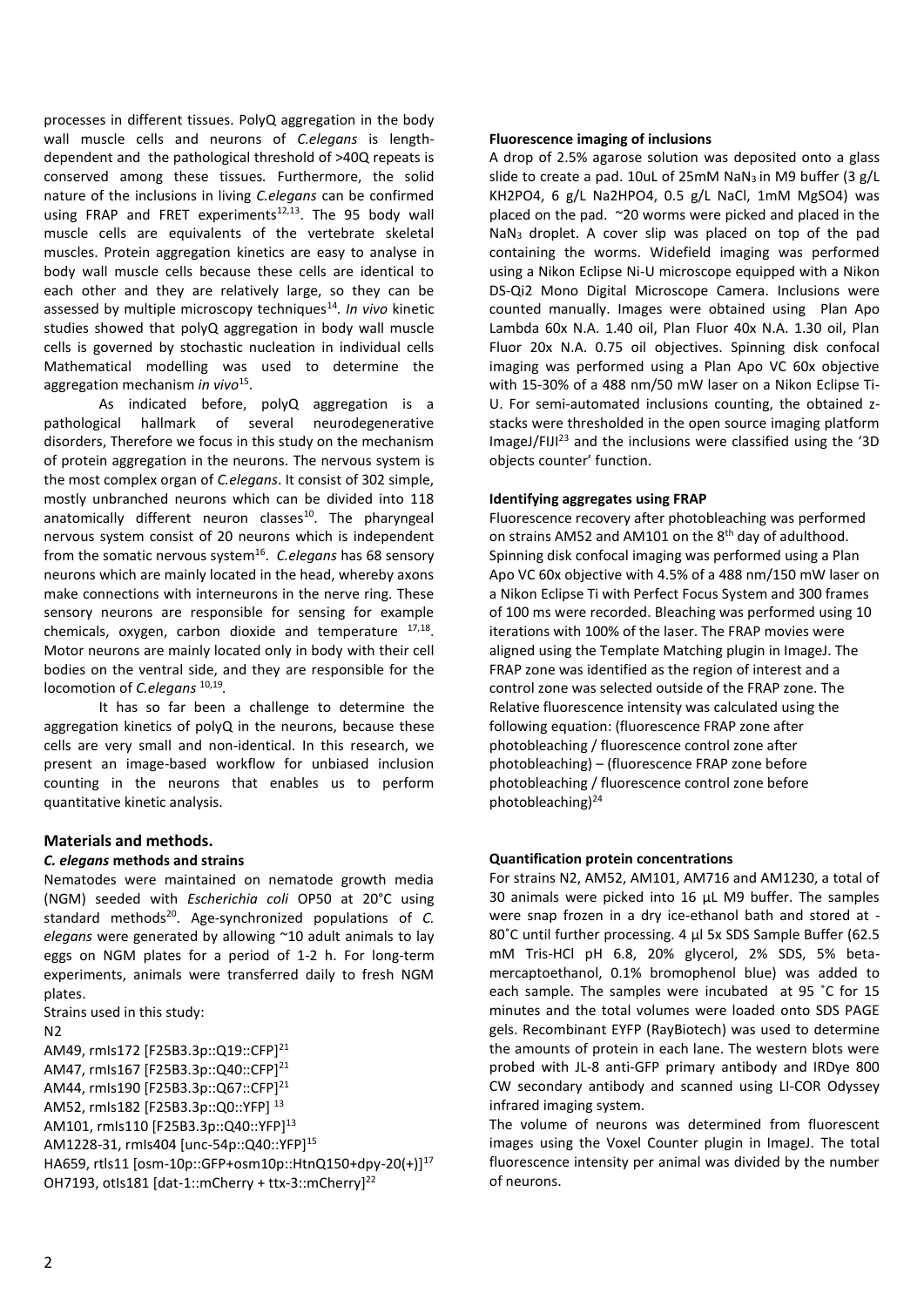processes in different tissues. PolyQ aggregation in the body wall muscle cells and neurons of *C.elegans* is lengthdependent and the pathological threshold of >40Q repeats is conserved among these tissues*.* Furthermore, the solid nature of the inclusions in living *C.elegans* can be confirmed using FRAP and FRET experiments<sup>12,13</sup>. The 95 body wall muscle cells are equivalents of the vertebrate skeletal muscles. Protein aggregation kinetics are easy to analyse in body wall muscle cells because these cells are identical to each other and they are relatively large, so they can be assessed by multiple microscopy techniques<sup>14</sup>. In vivo kinetic studies showed that polyQ aggregation in body wall muscle cells is governed by stochastic nucleation in individual cells Mathematical modelling was used to determine the aggregation mechanism *in vivo*<sup>15</sup> .

As indicated before, polyQ aggregation is a pathological hallmark of several neurodegenerative disorders, Therefore we focus in this study on the mechanism of protein aggregation in the neurons. The nervous system is the most complex organ of *C.elegans*. It consist of 302 simple, mostly unbranched neurons which can be divided into 118 anatomically different neuron classes<sup>10</sup>. The pharyngeal nervous system consist of 20 neurons which is independent from the somatic nervous system<sup>16</sup>. C.elegans has 68 sensory neurons which are mainly located in the head, whereby axons make connections with interneurons in the nerve ring. These sensory neurons are responsible for sensing for example chemicals, oxygen, carbon dioxide and temperature 17,18. Motor neurons are mainly located only in body with their cell bodies on the ventral side, and they are responsible for the locomotion of *C.elegans* 10,19 *.*

It has so far been a challenge to determine the aggregation kinetics of polyQ in the neurons, because these cells are very small and non-identical. In this research, we present an image-based workflow for unbiased inclusion counting in the neurons that enables us to perform quantitative kinetic analysis.

#### **Materials and methods.**

#### *C. elegans* **methods and strains**

Nematodes were maintained on nematode growth media (NGM) seeded with *Escherichia coli* OP50 at 20°C using standard methods<sup>20</sup>. Age-synchronized populations of *C*. *elegans* were generated by allowing ~10 adult animals to lay eggs on NGM plates for a period of 1-2 h. For long-term experiments, animals were transferred daily to fresh NGM plates.

Strains used in this study: N2 AM49, rmIs172 [F25B3.3p::Q19::CFP]<sup>21</sup> AM47, rmIs167 [F25B3.3p::Q40::CFP]<sup>21</sup> AM44, rmIs190 [F25B3.3p:: Q67:: CFP]<sup>21</sup> AM52, rmIs182 [F25B3.3p::Q0::YFP] <sup>13</sup> AM101, rmIs110 [F25B3.3p::Q40::YFP]<sup>13</sup> AM1228-31, rmIs404 [unc-54p::Q40::YFP]<sup>15</sup> HA659, rtls11 [osm-10p::GFP+osm10p::HtnQ150+dpy-20(+)]<sup>17</sup> OH7193, otIs181 [dat-1::mCherry + ttx-3::mCherry]<sup>22</sup>

#### **Fluorescence imaging of inclusions**

A drop of 2.5% agarose solution was deposited onto a glass slide to create a pad. 10uL of 25mM NaN<sub>3</sub> in M9 buffer (3 g/L KH2PO4, 6 g/L Na2HPO4, 0.5 g/L NaCl, 1mM MgSO4) was placed on the pad. ~20 worms were picked and placed in the NaN<sup>3</sup> droplet. A cover slip was placed on top of the pad containing the worms. Widefield imaging was performed using a Nikon Eclipse Ni-U microscope equipped with a Nikon DS-Qi2 Mono Digital Microscope Camera. Inclusions were counted manually. Images were obtained using Plan Apo Lambda 60x N.A. 1.40 oil, Plan Fluor 40x N.A. 1.30 oil, Plan Fluor 20x N.A. 0.75 oil objectives. Spinning disk confocal imaging was performed using a Plan Apo VC 60x objective with 15-30% of a 488 nm/50 mW laser on a Nikon Eclipse Ti-U. For semi-automated inclusions counting, the obtained zstacks were thresholded in the open source imaging platform ImageJ/FIJI<sup>23</sup> and the inclusions were classified using the '3D objects counter' function.

#### **Identifying aggregates using FRAP**

Fluorescence recovery after photobleaching was performed on strains AM52 and AM101 on the 8<sup>th</sup> day of adulthood. Spinning disk confocal imaging was performed using a Plan Apo VC 60x objective with 4.5% of a 488 nm/150 mW laser on a Nikon Eclipse Ti with Perfect Focus System and 300 frames of 100 ms were recorded. Bleaching was performed using 10 iterations with 100% of the laser. The FRAP movies were aligned using the Template Matching plugin in ImageJ. The FRAP zone was identified as the region of interest and a control zone was selected outside of the FRAP zone. The Relative fluorescence intensity was calculated using the following equation: (fluorescence FRAP zone after photobleaching / fluorescence control zone after photobleaching) – (fluorescence FRAP zone before photobleaching / fluorescence control zone before photobleaching)<sup>24</sup>

#### **Quantification protein concentrations**

For strains N2, AM52, AM101, AM716 and AM1230, a total of 30 animals were picked into 16 μL M9 buffer. The samples were snap frozen in a dry ice-ethanol bath and stored at - 80˚C until further processing. 4 μl 5x SDS Sample Buffer (62.5 mM Tris-HCl pH 6.8, 20% glycerol, 2% SDS, 5% betamercaptoethanol, 0.1% bromophenol blue) was added to each sample. The samples were incubated at 95 ˚C for 15 minutes and the total volumes were loaded onto SDS PAGE gels. Recombinant EYFP (RayBiotech) was used to determine the amounts of protein in each lane. The western blots were probed with JL-8 anti-GFP primary antibody and IRDye 800 CW secondary antibody and scanned using LI-COR Odyssey infrared imaging system.

The volume of neurons was determined from fluorescent images using the Voxel Counter plugin in ImageJ. The total fluorescence intensity per animal was divided by the number of neurons.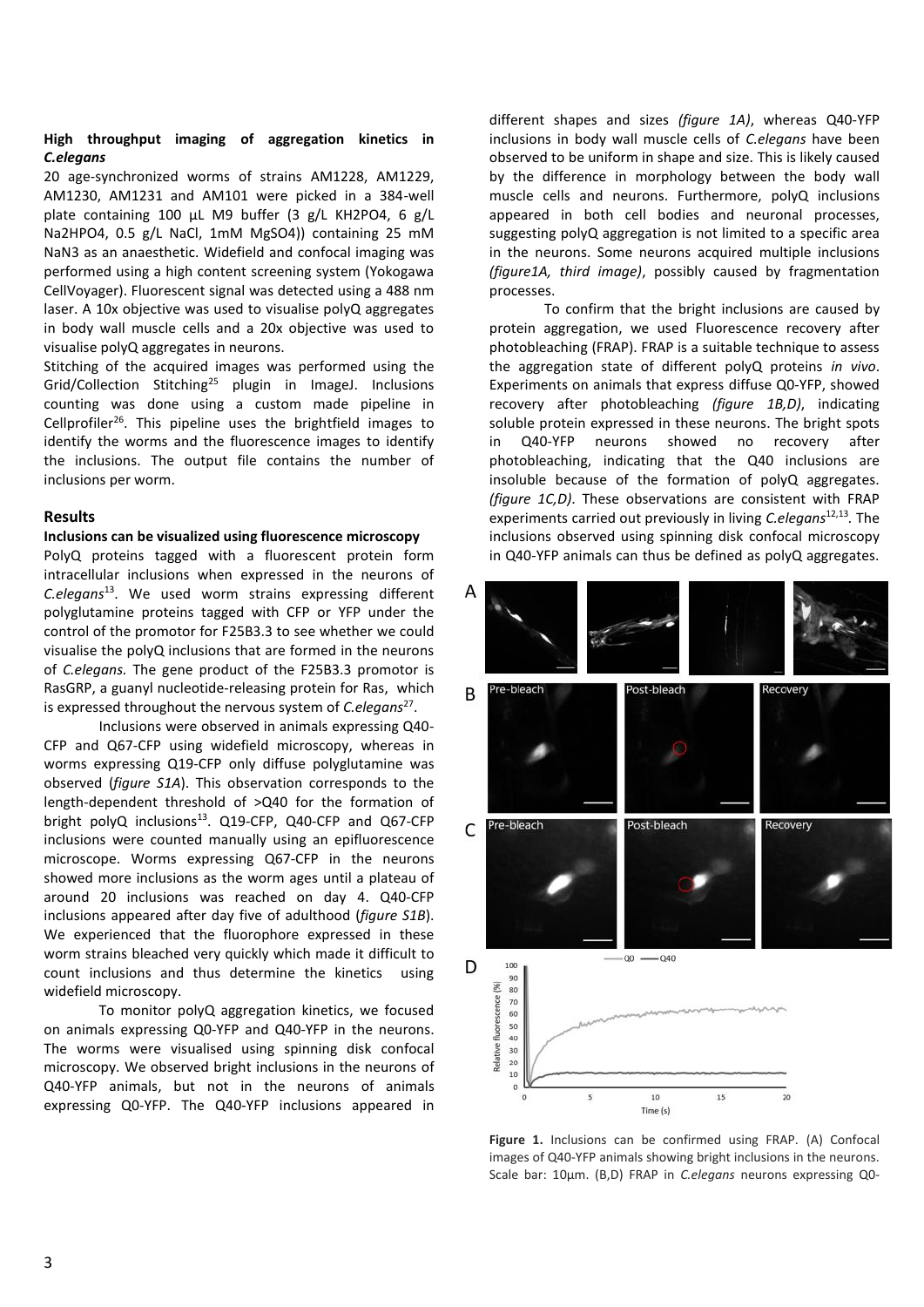#### **High throughput imaging of aggregation kinetics in**  *C.elegans*

20 age-synchronized worms of strains AM1228, AM1229, AM1230, AM1231 and AM101 were picked in a 384-well plate containing 100 µL M9 buffer (3 g/L KH2PO4, 6 g/L Na2HPO4, 0.5 g/L NaCl, 1mM MgSO4)) containing 25 mM NaN3 as an anaesthetic. Widefield and confocal imaging was performed using a high content screening system (Yokogawa CellVoyager). Fluorescent signal was detected using a 488 nm laser. A 10x objective was used to visualise polyQ aggregates in body wall muscle cells and a 20x objective was used to visualise polyQ aggregates in neurons.

Stitching of the acquired images was performed using the Grid/Collection Stitching<sup>25</sup> plugin in ImageJ. Inclusions counting was done using a custom made pipeline in Cellprofiler<sup>26</sup>. This pipeline uses the brightfield images to identify the worms and the fluorescence images to identify the inclusions. The output file contains the number of inclusions per worm.

# **Results**

#### **Inclusions can be visualized using fluorescence microscopy**

PolyQ proteins tagged with a fluorescent protein form intracellular inclusions when expressed in the neurons of *C.elegans*<sup>13</sup> . We used worm strains expressing different polyglutamine proteins tagged with CFP or YFP under the control of the promotor for F25B3.3 to see whether we could visualise the polyQ inclusions that are formed in the neurons of *C.elegans.* The gene product of the F25B3.3 promotor is RasGRP, a guanyl nucleotide-releasing protein for Ras, which is expressed throughout the nervous system of *C.elegans*<sup>27</sup> .

Inclusions were observed in animals expressing Q40- CFP and Q67-CFP using widefield microscopy, whereas in worms expressing Q19-CFP only diffuse polyglutamine was observed (*figure S1A*). This observation corresponds to the length-dependent threshold of >Q40 for the formation of bright polyQ inclusions<sup>13</sup>. Q19-CFP, Q40-CFP and Q67-CFP inclusions were counted manually using an epifluorescence microscope. Worms expressing Q67-CFP in the neurons showed more inclusions as the worm ages until a plateau of around 20 inclusions was reached on day 4. Q40-CFP inclusions appeared after day five of adulthood (*figure S1B*). We experienced that the fluorophore expressed in these worm strains bleached very quickly which made it difficult to count inclusions and thus determine the kinetics using widefield microscopy.

To monitor polyQ aggregation kinetics, we focused on animals expressing Q0-YFP and Q40-YFP in the neurons. The worms were visualised using spinning disk confocal microscopy. We observed bright inclusions in the neurons of Q40-YFP animals, but not in the neurons of animals expressing Q0-YFP. The Q40-YFP inclusions appeared in different shapes and sizes *(figure 1A)*, whereas Q40-YFP inclusions in body wall muscle cells of *C.elegans* have been observed to be uniform in shape and size. This is likely caused by the difference in morphology between the body wall muscle cells and neurons. Furthermore, polyQ inclusions appeared in both cell bodies and neuronal processes, suggesting polyQ aggregation is not limited to a specific area in the neurons. Some neurons acquired multiple inclusions *(figure1A, third image)*, possibly caused by fragmentation processes.

To confirm that the bright inclusions are caused by protein aggregation, we used Fluorescence recovery after photobleaching (FRAP). FRAP is a suitable technique to assess the aggregation state of different polyQ proteins *in vivo*. Experiments on animals that express diffuse Q0-YFP, showed recovery after photobleaching *(figure 1B,D)*, indicating soluble protein expressed in these neurons. The bright spots in Q40-YFP neurons showed no recovery after photobleaching, indicating that the Q40 inclusions are insoluble because of the formation of polyQ aggregates. *(figure 1C,D)*. These observations are consistent with FRAP experiments carried out previously in living *C.elegans*12,13 *.* The inclusions observed using spinning disk confocal microscopy in Q40-YFP animals can thus be defined as polyQ aggregates.



**Figure 1.** Inclusions can be confirmed using FRAP. (A) Confocal images of Q40-YFP animals showing bright inclusions in the neurons. Scale bar: 10μm. (B,D) FRAP in *C.elegans* neurons expressing Q0-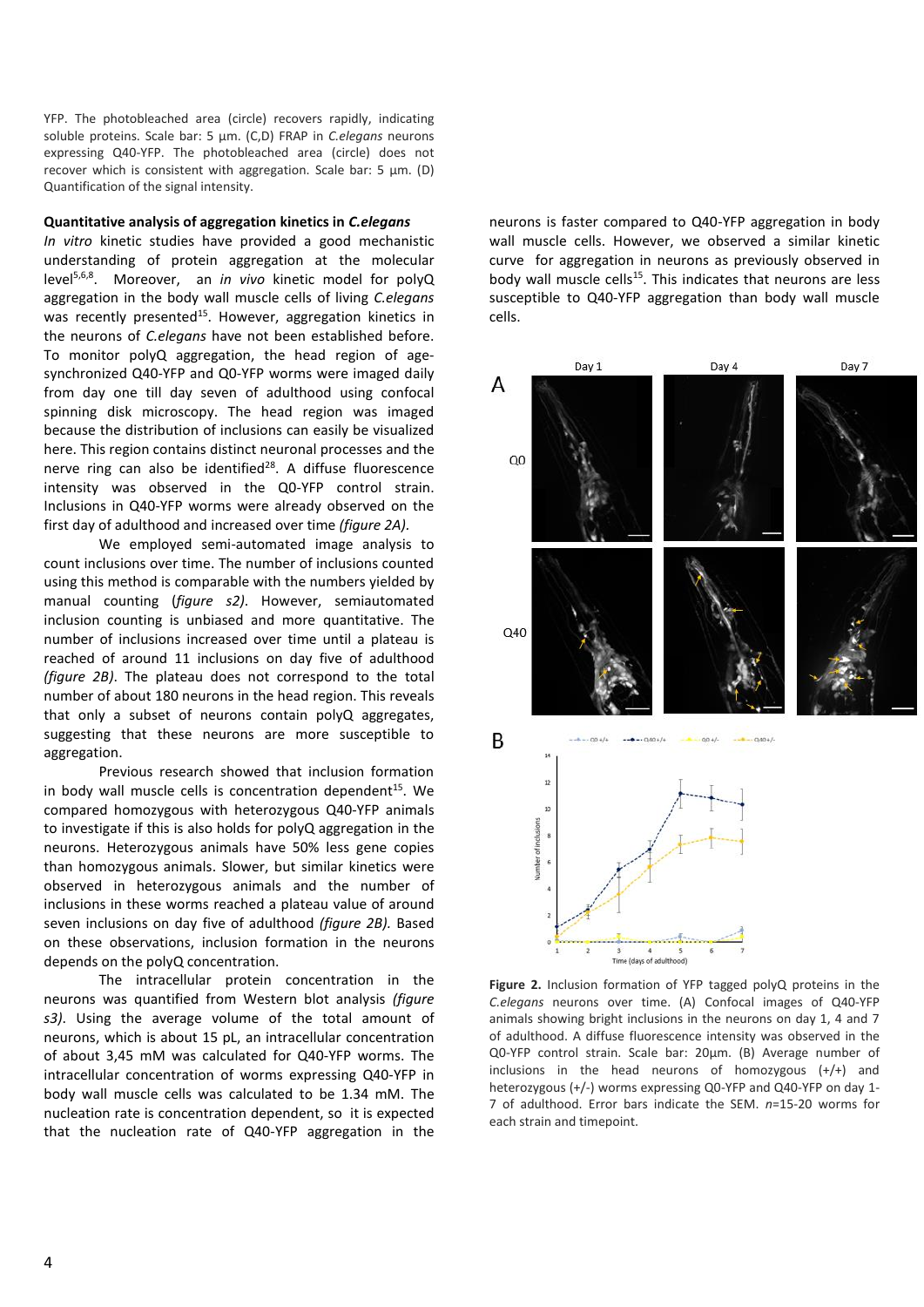YFP. The photobleached area (circle) recovers rapidly, indicating soluble proteins. Scale bar: 5 μm. (C,D) FRAP in *C.elegans* neurons expressing Q40-YFP. The photobleached area (circle) does not recover which is consistent with aggregation. Scale bar: 5 μm. (D) Quantification of the signal intensity.

#### **Quantitative analysis of aggregation kinetics in** *C.elegans*

*In vitro* kinetic studies have provided a good mechanistic understanding of protein aggregation at the molecular level5,6,8 . Moreover, an *in vivo* kinetic model for polyQ aggregation in the body wall muscle cells of living *C.elegans* was recently presented<sup>15</sup>. However, aggregation kinetics in the neurons of *C.elegans* have not been established before. To monitor polyQ aggregation, the head region of agesynchronized Q40-YFP and Q0-YFP worms were imaged daily from day one till day seven of adulthood using confocal spinning disk microscopy. The head region was imaged because the distribution of inclusions can easily be visualized here. This region contains distinct neuronal processes and the nerve ring can also be identified<sup>28</sup>. A diffuse fluorescence intensity was observed in the Q0-YFP control strain. Inclusions in Q40-YFP worms were already observed on the first day of adulthood and increased over time *(figure 2A).*

We employed semi-automated image analysis to count inclusions over time. The number of inclusions counted using this method is comparable with the numbers yielded by manual counting (*figure s2)*. However, semiautomated inclusion counting is unbiased and more quantitative. The number of inclusions increased over time until a plateau is reached of around 11 inclusions on day five of adulthood *(figure 2B)*. The plateau does not correspond to the total number of about 180 neurons in the head region. This reveals that only a subset of neurons contain polyQ aggregates, suggesting that these neurons are more susceptible to aggregation.

Previous research showed that inclusion formation in body wall muscle cells is concentration dependent<sup>15</sup>. We compared homozygous with heterozygous Q40-YFP animals to investigate if this is also holds for polyQ aggregation in the neurons. Heterozygous animals have 50% less gene copies than homozygous animals. Slower, but similar kinetics were observed in heterozygous animals and the number of inclusions in these worms reached a plateau value of around seven inclusions on day five of adulthood *(figure 2B).* Based on these observations, inclusion formation in the neurons depends on the polyQ concentration.

The intracellular protein concentration in the neurons was quantified from Western blot analysis *(figure s3)*. Using the average volume of the total amount of neurons, which is about 15 pL, an intracellular concentration of about 3,45 mM was calculated for Q40-YFP worms. The intracellular concentration of worms expressing Q40-YFP in body wall muscle cells was calculated to be 1.34 mM. The nucleation rate is concentration dependent, so it is expected that the nucleation rate of Q40-YFP aggregation in the neurons is faster compared to Q40-YFP aggregation in body wall muscle cells. However, we observed a similar kinetic curve for aggregation in neurons as previously observed in body wall muscle cells<sup>15</sup>. This indicates that neurons are less susceptible to Q40-YFP aggregation than body wall muscle cells.



**Figure 2.** Inclusion formation of YFP tagged polyQ proteins in the *C.elegans* neurons over time. (A) Confocal images of Q40-YFP animals showing bright inclusions in the neurons on day 1, 4 and 7 of adulthood. A diffuse fluorescence intensity was observed in the Q0-YFP control strain. Scale bar: 20μm. (B) Average number of inclusions in the head neurons of homozygous (+/+) and heterozygous (+/-) worms expressing Q0-YFP and Q40-YFP on day 1- 7 of adulthood. Error bars indicate the SEM. *n*=15-20 worms for each strain and timepoint.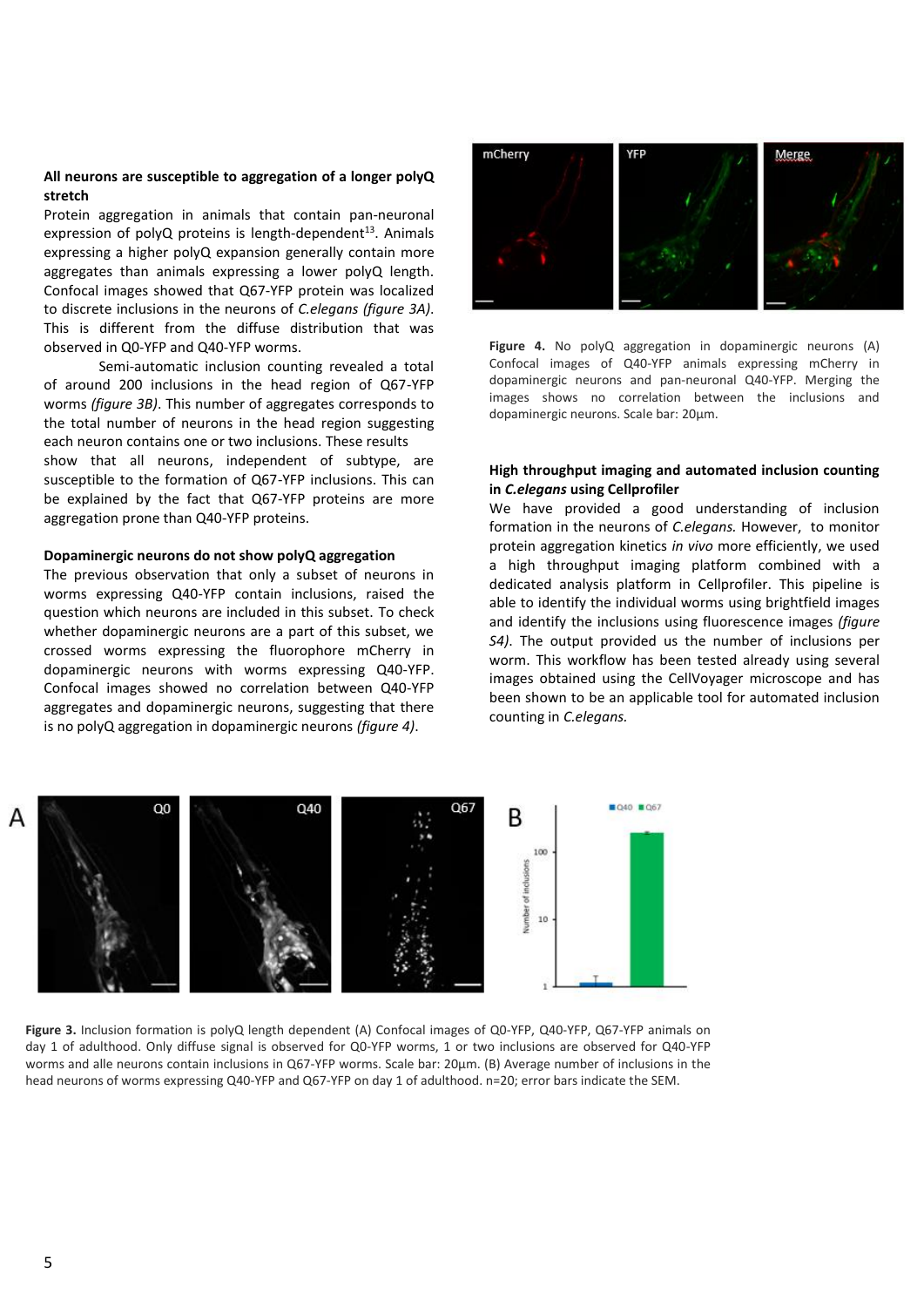#### **All neurons are susceptible to aggregation of a longer polyQ stretch**

Protein aggregation in animals that contain pan-neuronal expression of polyQ proteins is length-dependent $^{13}$ . Animals expressing a higher polyQ expansion generally contain more aggregates than animals expressing a lower polyQ length. Confocal images showed that Q67-YFP protein was localized to discrete inclusions in the neurons of *C.elegans (figure 3A)*. This is different from the diffuse distribution that was observed in Q0-YFP and Q40-YFP worms.

Semi-automatic inclusion counting revealed a total of around 200 inclusions in the head region of Q67-YFP worms *(figure 3B)*. This number of aggregates corresponds to the total number of neurons in the head region suggesting each neuron contains one or two inclusions. These results show that all neurons, independent of subtype, are susceptible to the formation of Q67-YFP inclusions. This can be explained by the fact that Q67-YFP proteins are more aggregation prone than Q40-YFP proteins.

#### **Dopaminergic neurons do not show polyQ aggregation**

The previous observation that only a subset of neurons in worms expressing Q40-YFP contain inclusions, raised the question which neurons are included in this subset. To check whether dopaminergic neurons are a part of this subset, we crossed worms expressing the fluorophore mCherry in dopaminergic neurons with worms expressing Q40-YFP. Confocal images showed no correlation between Q40-YFP aggregates and dopaminergic neurons, suggesting that there is no polyQ aggregation in dopaminergic neurons *(figure 4)*.



**Figure 4.** No polyQ aggregation in dopaminergic neurons (A) Confocal images of Q40-YFP animals expressing mCherry in dopaminergic neurons and pan-neuronal Q40-YFP. Merging the images shows no correlation between the inclusions and dopaminergic neurons. Scale bar: 20μm.

# **High throughput imaging and automated inclusion counting in** *C.elegans* **using Cellprofiler**

We have provided a good understanding of inclusion formation in the neurons of *C.elegans.* However, to monitor protein aggregation kinetics *in vivo* more efficiently, we used a high throughput imaging platform combined with a dedicated analysis platform in Cellprofiler. This pipeline is able to identify the individual worms using brightfield images and identify the inclusions using fluorescence images *(figure S4)*. The output provided us the number of inclusions per worm. This workflow has been tested already using several images obtained using the CellVoyager microscope and has been shown to be an applicable tool for automated inclusion counting in *C.elegans.*



**Figure 3.** Inclusion formation is polyQ length dependent (A) Confocal images of Q0-YFP, Q40-YFP, Q67-YFP animals on day 1 of adulthood. Only diffuse signal is observed for Q0-YFP worms, 1 or two inclusions are observed for Q40-YFP worms and alle neurons contain inclusions in Q67-YFP worms. Scale bar: 20μm. (B) Average number of inclusions in the head neurons of worms expressing Q40-YFP and Q67-YFP on day 1 of adulthood. n=20; error bars indicate the SEM.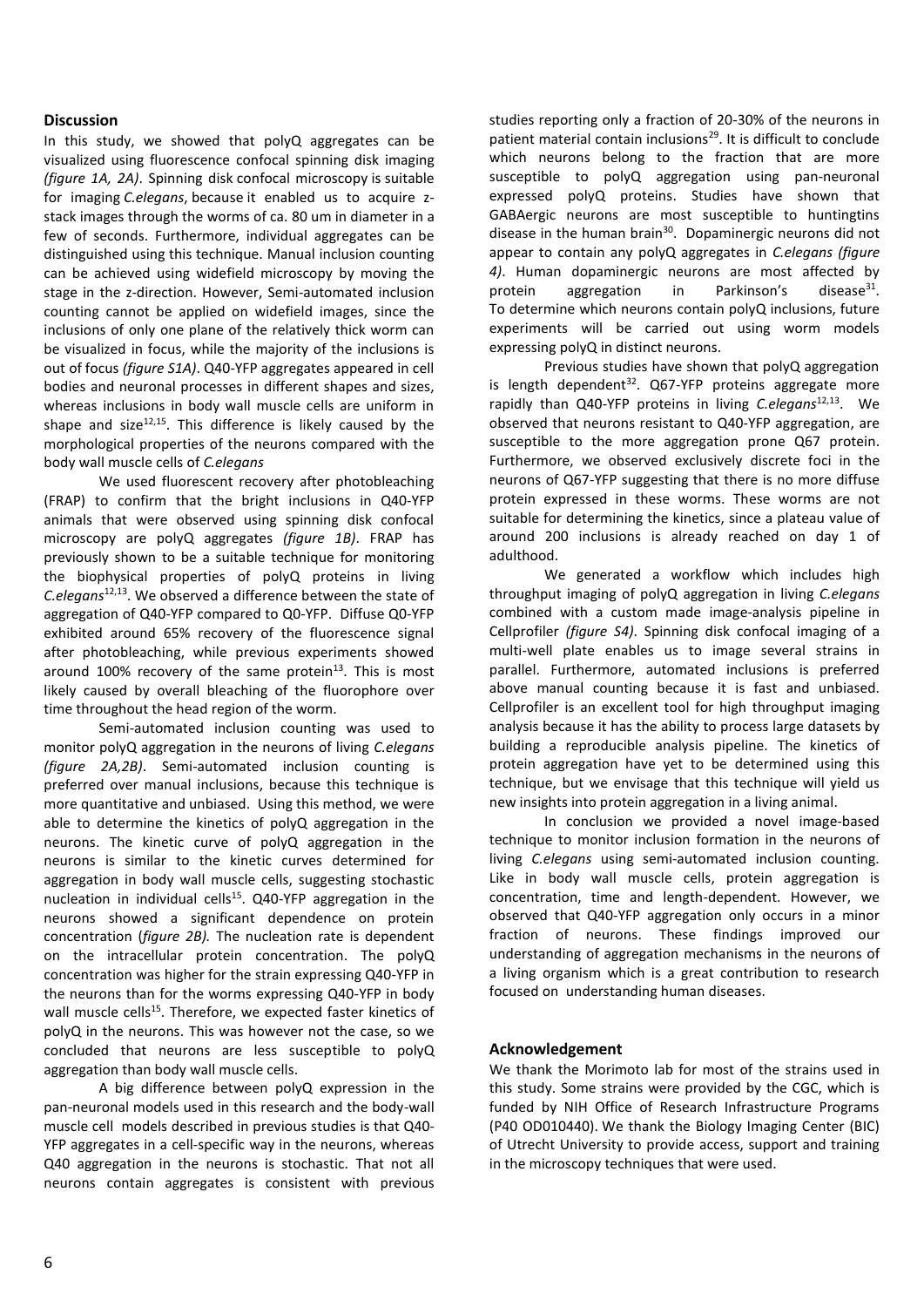## **Discussion**

In this study, we showed that polyQ aggregates can be visualized using fluorescence confocal spinning disk imaging *(figure 1A, 2A)*. Spinning disk confocal microscopy is suitable for imaging *C.elegans*, because it enabled us to acquire zstack images through the worms of ca. 80 um in diameter in a few of seconds. Furthermore, individual aggregates can be distinguished using this technique. Manual inclusion counting can be achieved using widefield microscopy by moving the stage in the z-direction. However, Semi-automated inclusion counting cannot be applied on widefield images, since the inclusions of only one plane of the relatively thick worm can be visualized in focus, while the majority of the inclusions is out of focus *(figure S1A)*. Q40-YFP aggregates appeared in cell bodies and neuronal processes in different shapes and sizes, whereas inclusions in body wall muscle cells are uniform in shape and size $^{12,15}$ . This difference is likely caused by the morphological properties of the neurons compared with the body wall muscle cells of *C.elegans*

We used fluorescent recovery after photobleaching (FRAP) to confirm that the bright inclusions in Q40-YFP animals that were observed using spinning disk confocal microscopy are polyQ aggregates *(figure 1B)*. FRAP has previously shown to be a suitable technique for monitoring the biophysical properties of polyQ proteins in living *C.elegans*12,13 . We observed a difference between the state of aggregation of Q40-YFP compared to Q0-YFP. Diffuse Q0-YFP exhibited around 65% recovery of the fluorescence signal after photobleaching, while previous experiments showed around 100% recovery of the same protein $13$ . This is most likely caused by overall bleaching of the fluorophore over time throughout the head region of the worm.

Semi-automated inclusion counting was used to monitor polyQ aggregation in the neurons of living *C.elegans (figure 2A,2B)*. Semi-automated inclusion counting is preferred over manual inclusions, because this technique is more quantitative and unbiased. Using this method, we were able to determine the kinetics of polyQ aggregation in the neurons. The kinetic curve of polyQ aggregation in the neurons is similar to the kinetic curves determined for aggregation in body wall muscle cells, suggesting stochastic nucleation in individual cells<sup>15</sup>. Q40-YFP aggregation in the neurons showed a significant dependence on protein concentration (*figure 2B).* The nucleation rate is dependent on the intracellular protein concentration. The polyQ concentration was higher for the strain expressing Q40-YFP in the neurons than for the worms expressing Q40-YFP in body wall muscle cells<sup>15</sup>. Therefore, we expected faster kinetics of polyQ in the neurons. This was however not the case, so we concluded that neurons are less susceptible to polyQ aggregation than body wall muscle cells.

A big difference between polyQ expression in the pan-neuronal models used in this research and the body-wall muscle cell models described in previous studies is that Q40- YFP aggregates in a cell-specific way in the neurons, whereas Q40 aggregation in the neurons is stochastic. That not all neurons contain aggregates is consistent with previous studies reporting only a fraction of 20-30% of the neurons in patient material contain inclusions<sup>29</sup>. It is difficult to conclude which neurons belong to the fraction that are more susceptible to polyQ aggregation using pan-neuronal expressed polyQ proteins. Studies have shown that GABAergic neurons are most susceptible to huntingtins disease in the human brain<sup>30</sup>. Dopaminergic neurons did not appear to contain any polyQ aggregates in *C.elegans (figure 4)*. Human dopaminergic neurons are most affected by protein aggregation in Parkinson's disease $31$ . To determine which neurons contain polyQ inclusions, future experiments will be carried out using worm models expressing polyQ in distinct neurons.

Previous studies have shown that polyQ aggregation is length dependent $32$ . Q67-YFP proteins aggregate more rapidly than Q40-YFP proteins in living *C.elegans*<sup>12,13</sup>. We observed that neurons resistant to Q40-YFP aggregation, are susceptible to the more aggregation prone Q67 protein. Furthermore, we observed exclusively discrete foci in the neurons of Q67-YFP suggesting that there is no more diffuse protein expressed in these worms. These worms are not suitable for determining the kinetics, since a plateau value of around 200 inclusions is already reached on day 1 of adulthood.

We generated a workflow which includes high throughput imaging of polyQ aggregation in living *C.elegans*  combined with a custom made image-analysis pipeline in Cellprofiler *(figure S4)*. Spinning disk confocal imaging of a multi-well plate enables us to image several strains in parallel. Furthermore, automated inclusions is preferred above manual counting because it is fast and unbiased. Cellprofiler is an excellent tool for high throughput imaging analysis because it has the ability to process large datasets by building a reproducible analysis pipeline. The kinetics of protein aggregation have yet to be determined using this technique, but we envisage that this technique will yield us new insights into protein aggregation in a living animal.

In conclusion we provided a novel image-based technique to monitor inclusion formation in the neurons of living *C.elegans* using semi-automated inclusion counting. Like in body wall muscle cells, protein aggregation is concentration, time and length-dependent. However, we observed that Q40-YFP aggregation only occurs in a minor fraction of neurons. These findings improved our understanding of aggregation mechanisms in the neurons of a living organism which is a great contribution to research focused on understanding human diseases.

#### **Acknowledgement**

We thank the Morimoto lab for most of the strains used in this study. Some strains were provided by the CGC, which is funded by NIH Office of Research Infrastructure Programs (P40 OD010440). We thank the Biology Imaging Center (BIC) of Utrecht University to provide access, support and training in the microscopy techniques that were used.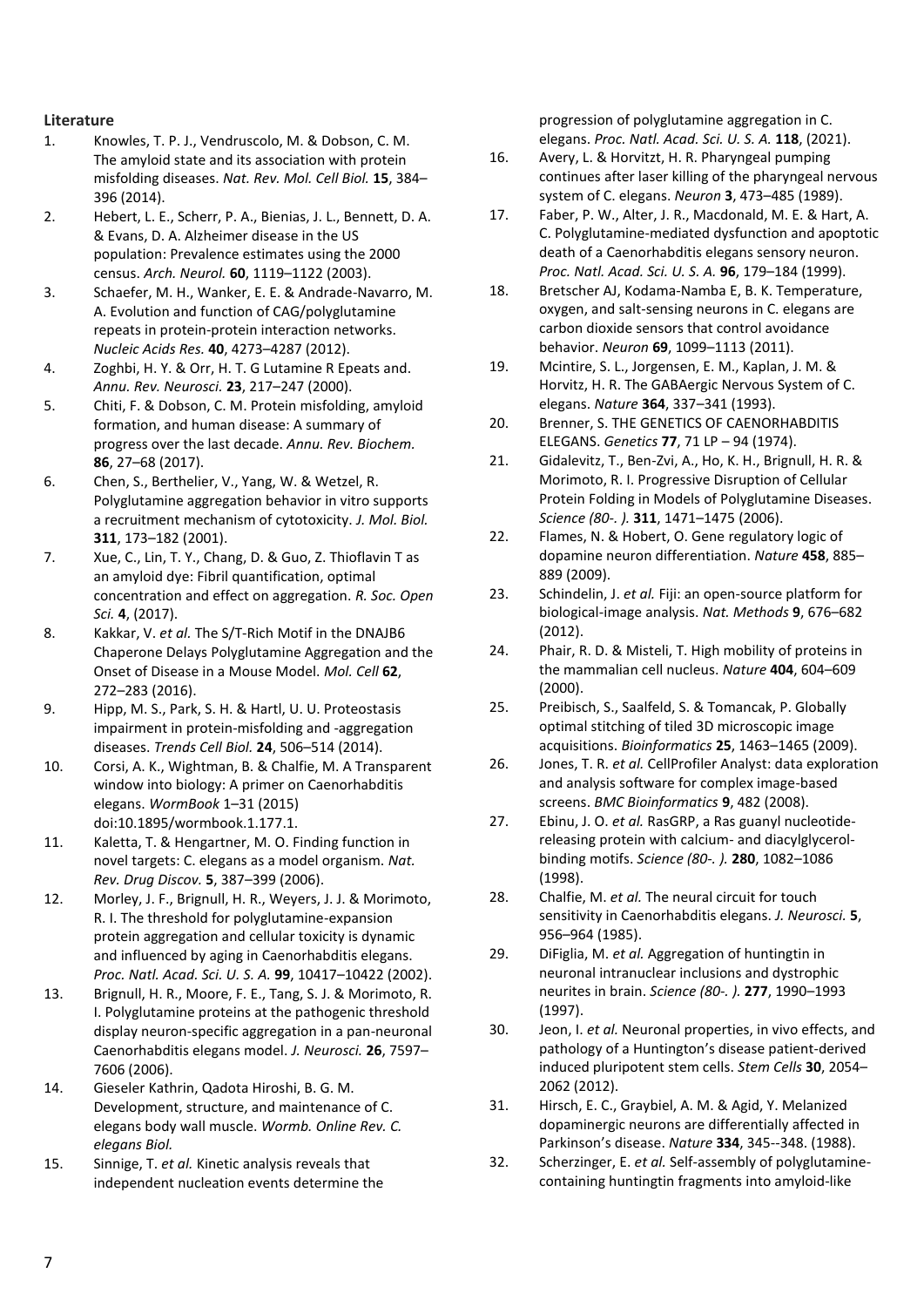# **Literature**

- 1. Knowles, T. P. J., Vendruscolo, M. & Dobson, C. M. The amyloid state and its association with protein misfolding diseases. *Nat. Rev. Mol. Cell Biol.* **15**, 384– 396 (2014).
- 2. Hebert, L. E., Scherr, P. A., Bienias, J. L., Bennett, D. A. & Evans, D. A. Alzheimer disease in the US population: Prevalence estimates using the 2000 census. *Arch. Neurol.* **60**, 1119–1122 (2003).
- 3. Schaefer, M. H., Wanker, E. E. & Andrade-Navarro, M. A. Evolution and function of CAG/polyglutamine repeats in protein-protein interaction networks. *Nucleic Acids Res.* **40**, 4273–4287 (2012).
- 4. Zoghbi, H. Y. & Orr, H. T. G Lutamine R Epeats and. *Annu. Rev. Neurosci.* **23**, 217–247 (2000).
- 5. Chiti, F. & Dobson, C. M. Protein misfolding, amyloid formation, and human disease: A summary of progress over the last decade. *Annu. Rev. Biochem.* **86**, 27–68 (2017).
- 6. Chen, S., Berthelier, V., Yang, W. & Wetzel, R. Polyglutamine aggregation behavior in vitro supports a recruitment mechanism of cytotoxicity. *J. Mol. Biol.* **311**, 173–182 (2001).
- 7. Xue, C., Lin, T. Y., Chang, D. & Guo, Z. Thioflavin T as an amyloid dye: Fibril quantification, optimal concentration and effect on aggregation. *R. Soc. Open Sci.* **4**, (2017).
- 8. Kakkar, V. *et al.* The S/T-Rich Motif in the DNAJB6 Chaperone Delays Polyglutamine Aggregation and the Onset of Disease in a Mouse Model. *Mol. Cell* **62**, 272–283 (2016).
- 9. Hipp, M. S., Park, S. H. & Hartl, U. U. Proteostasis impairment in protein-misfolding and -aggregation diseases. *Trends Cell Biol.* **24**, 506–514 (2014).
- 10. Corsi, A. K., Wightman, B. & Chalfie, M. A Transparent window into biology: A primer on Caenorhabditis elegans. *WormBook* 1–31 (2015) doi:10.1895/wormbook.1.177.1.
- 11. Kaletta, T. & Hengartner, M. O. Finding function in novel targets: C. elegans as a model organism. *Nat. Rev. Drug Discov.* **5**, 387–399 (2006).
- 12. Morley, J. F., Brignull, H. R., Weyers, J. J. & Morimoto, R. I. The threshold for polyglutamine-expansion protein aggregation and cellular toxicity is dynamic and influenced by aging in Caenorhabditis elegans. *Proc. Natl. Acad. Sci. U. S. A.* **99**, 10417–10422 (2002).
- 13. Brignull, H. R., Moore, F. E., Tang, S. J. & Morimoto, R. I. Polyglutamine proteins at the pathogenic threshold display neuron-specific aggregation in a pan-neuronal Caenorhabditis elegans model. *J. Neurosci.* **26**, 7597– 7606 (2006).
- 14. Gieseler Kathrin, Qadota Hiroshi, B. G. M. Development, structure, and maintenance of C. elegans body wall muscle. *Wormb. Online Rev. C. elegans Biol.*
- 15. Sinnige, T. *et al.* Kinetic analysis reveals that independent nucleation events determine the

progression of polyglutamine aggregation in C. elegans. *Proc. Natl. Acad. Sci. U. S. A.* **118**, (2021).

- 16. Avery, L. & Horvitzt, H. R. Pharyngeal pumping continues after laser killing of the pharyngeal nervous system of C. elegans. *Neuron* **3**, 473–485 (1989).
- 17. Faber, P. W., Alter, J. R., Macdonald, M. E. & Hart, A. C. Polyglutamine-mediated dysfunction and apoptotic death of a Caenorhabditis elegans sensory neuron. *Proc. Natl. Acad. Sci. U. S. A.* **96**, 179–184 (1999).
- 18. Bretscher AJ, Kodama-Namba E, B. K. Temperature, oxygen, and salt-sensing neurons in C. elegans are carbon dioxide sensors that control avoidance behavior. *Neuron* **69**, 1099–1113 (2011).
- 19. Mcintire, S. L., Jorgensen, E. M., Kaplan, J. M. & Horvitz, H. R. The GABAergic Nervous System of C. elegans. *Nature* **364**, 337–341 (1993).
- 20. Brenner, S. THE GENETICS OF CAENORHABDITIS ELEGANS. *Genetics* **77**, 71 LP – 94 (1974).
- 21. Gidalevitz, T., Ben-Zvi, A., Ho, K. H., Brignull, H. R. & Morimoto, R. I. Progressive Disruption of Cellular Protein Folding in Models of Polyglutamine Diseases. *Science (80-. ).* **311**, 1471–1475 (2006).
- 22. Flames, N. & Hobert, O. Gene regulatory logic of dopamine neuron differentiation. *Nature* **458**, 885– 889 (2009).
- 23. Schindelin, J. *et al.* Fiji: an open-source platform for biological-image analysis. *Nat. Methods* **9**, 676–682 (2012).
- 24. Phair, R. D. & Misteli, T. High mobility of proteins in the mammalian cell nucleus. *Nature* **404**, 604–609 (2000).
- 25. Preibisch, S., Saalfeld, S. & Tomancak, P. Globally optimal stitching of tiled 3D microscopic image acquisitions. *Bioinformatics* **25**, 1463–1465 (2009).
- 26. Jones, T. R. *et al.* CellProfiler Analyst: data exploration and analysis software for complex image-based screens. *BMC Bioinformatics* **9**, 482 (2008).
- 27. Ebinu, J. O. *et al.* RasGRP, a Ras guanyl nucleotidereleasing protein with calcium- and diacylglycerolbinding motifs. *Science (80-. ).* **280**, 1082–1086 (1998).
- 28. Chalfie, M. *et al.* The neural circuit for touch sensitivity in Caenorhabditis elegans. *J. Neurosci.* **5**, 956–964 (1985).
- 29. DiFiglia, M. *et al.* Aggregation of huntingtin in neuronal intranuclear inclusions and dystrophic neurites in brain. *Science (80-. ).* **277**, 1990–1993 (1997).
- 30. Jeon, I. *et al.* Neuronal properties, in vivo effects, and pathology of a Huntington's disease patient-derived induced pluripotent stem cells. *Stem Cells* **30**, 2054– 2062 (2012).
- 31. Hirsch, E. C., Graybiel, A. M. & Agid, Y. Melanized dopaminergic neurons are differentially affected in Parkinson's disease. *Nature* **334**, 345--348. (1988).
- 32. Scherzinger, E. *et al.* Self-assembly of polyglutaminecontaining huntingtin fragments into amyloid-like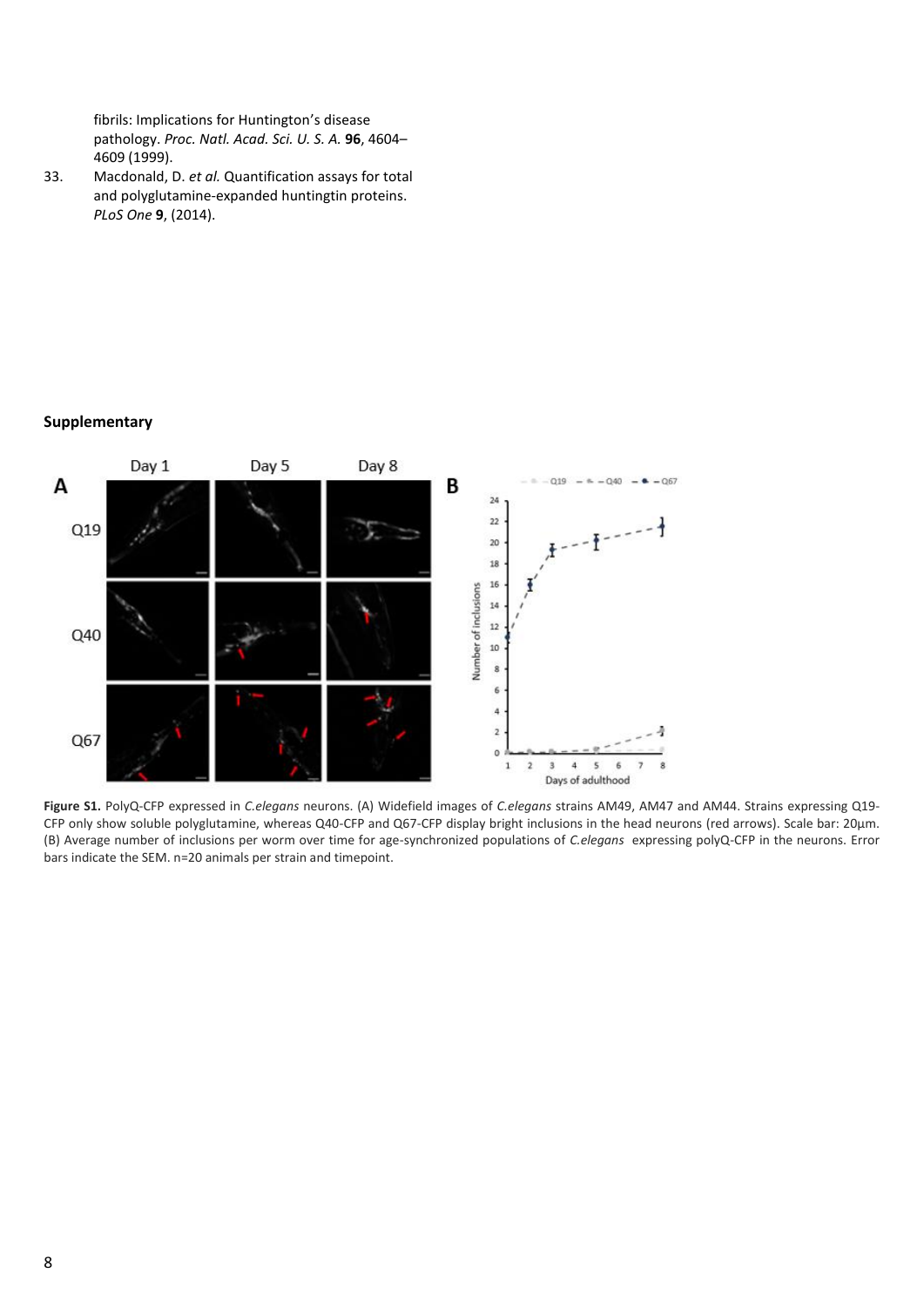fibrils: Implications for Huntington's disease pathology. *Proc. Natl. Acad. Sci. U. S. A.* **96**, 4604– 4609 (1999).

33. Macdonald, D. *et al.* Quantification assays for total and polyglutamine-expanded huntingtin proteins. *PLoS One* **9**, (2014).

#### **Supplementary**



**Figure S1.** PolyQ-CFP expressed in *C.elegans* neurons. (A) Widefield images of *C.elegans* strains AM49, AM47 and AM44. Strains expressing Q19- CFP only show soluble polyglutamine, whereas Q40-CFP and Q67-CFP display bright inclusions in the head neurons (red arrows). Scale bar: 20μm. (B) Average number of inclusions per worm over time for age-synchronized populations of *C.elegans* expressing polyQ-CFP in the neurons. Error bars indicate the SEM. n=20 animals per strain and timepoint.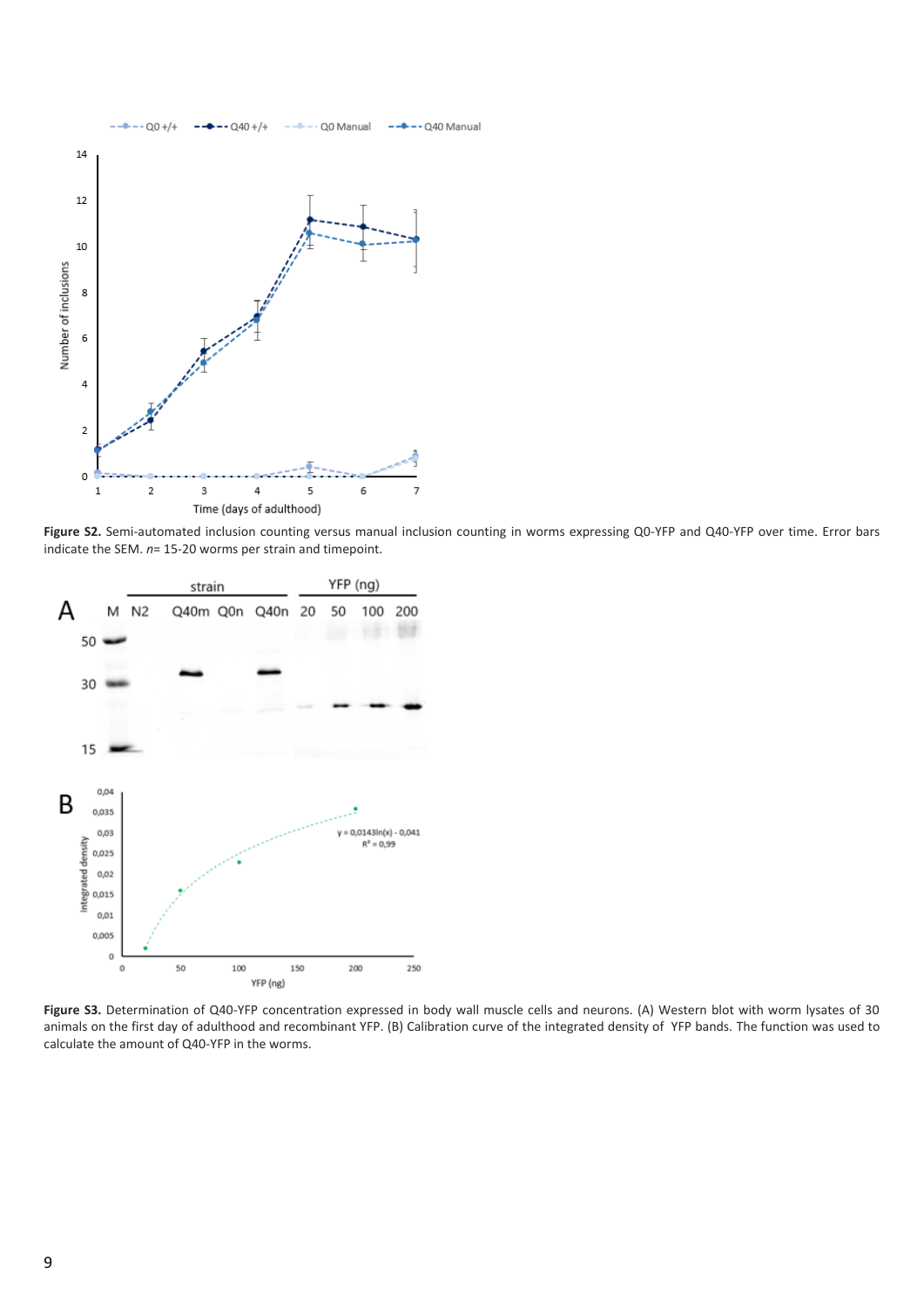

**Figure S2.** Semi-automated inclusion counting versus manual inclusion counting in worms expressing Q0-YFP and Q40-YFP over time. Error bars indicate the SEM. *n*= 15-20 worms per strain and timepoint.



**Figure S3.** Determination of Q40-YFP concentration expressed in body wall muscle cells and neurons. (A) Western blot with worm lysates of 30 animals on the first day of adulthood and recombinant YFP. (B) Calibration curve of the integrated density of YFP bands. The function was used to calculate the amount of Q40-YFP in the worms.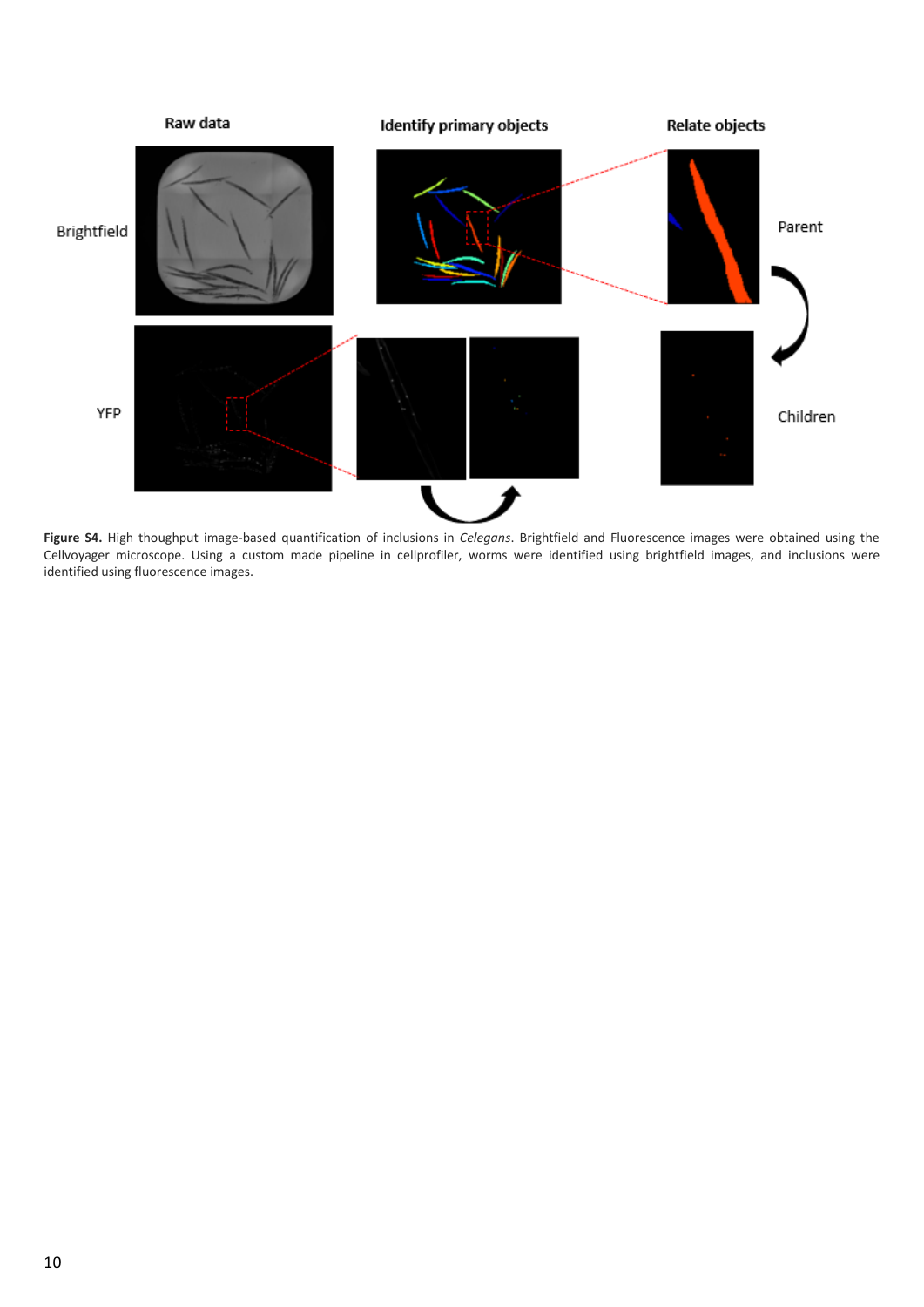

**Figure S4.** High thoughput image-based quantification of inclusions in *Celegans*. Brightfield and Fluorescence images were obtained using the Cellvoyager microscope. Using a custom made pipeline in cellprofiler, worms were identified using brightfield images, and inclusions were identified using fluorescence images.